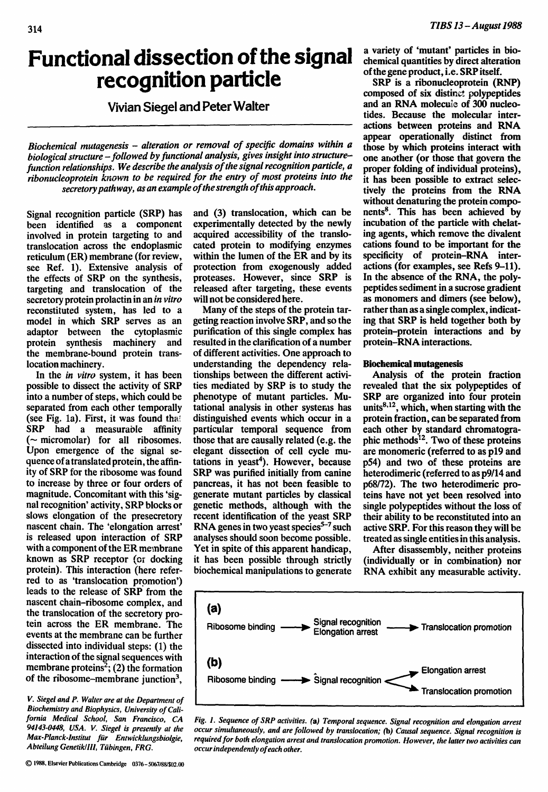# **Functional dissection of the signal recognition particle**

## **Vivian Siegel and Peter Walter**

*Biochemical mutagenesis - alteration or removal of specific domains within a biological structure -followed by functional analysis, gives insight into structurefunction relationships. We describe the analysis of the signal recognition particle, a ribonucleoprotein known to be required for the entry of most proteins into the secretory pathway, as an example of the strength of this approach.* 

Signal recognition particle (SRP) has been identified as a component involved in protein targeting to and translocation across the endoplasmic reticulum (ER) membrane (for review, see Ref. 1). Extensive analysis of the effects of SRP on the synthesis, targeting and translocation of the secretory protein prolactin in an *in vitro*  reconstituted system, has led to a model in which SRP serves as an adaptor between the cytoplasmic protein synthesis machinery and the membrane-bound protein translocation machinery.

In the *in vitro* system, it has been possible to dissect the activity of SRP into a number of steps, which could be separated from each other temporally (see Fig. la). First, it was found the! SRP had a measurable affinity  $(\sim$  micromolar) for all ribosomes. Upon emergence of the signal sequence of a translated protein, the affinity of SRP for the ribosome was found to increase by three or four orders of magnitude. Concomitant with this 'signal recognition' activity, SRP blocks or slows elongation of the presecretory nascent chain. The 'elongation arrest' is released upon interaction of SRP with a component of the ER membrane known as SRP receptor (or docking protein). This interaction (here referred to as 'translocation promotion') leads to the release of SRP from the nascent chain-ribosome complex, and the translocation of the secretory protein across the ER membrane. The events at the membrane can be further dissected into individual steps: (1) the interaction of the signal sequences with membrane proteins<sup>2</sup>; (2) the formation of the ribosome–membrane junction<sup>3</sup>.

*V. Siegel and P. Walter are at the Department of Biochemistry and Biophysics, University of California Medical School, San Francisco, CA 94143-0448, USA. V. Siegel is presently at the Max-Planck-lnstitut flir Entwicklungsbiolgie, Abteilung Genetik/lll, Tiibingen, FRG.* 

and (3) translocation, which can be experimentally detected by the newly acquired accessibility of the translocated protein to modifying enzymes within the lumen of the ER and by its protection from exogenously added proteases. However, since SRP is released after targeting, these events will not be considered here.

Many of the steps of the protein targeting reaction involve SRP, and so the purification of this single complex has resulted in the clarification of a number of different activities. One approach to understanding the dependency relationships between the different activities mediated by SRP is to study the phenotype of mutant particles. Mutational analysis in other systeras has distinguished events which occur in a particular temporal sequence from those that are causally related (e.g. the elegant dissection of cell cycle mu $tations$  in  $veast<sup>4</sup>$ . However, because SRP was purified initially from canine pancreas, it has not been feasible to generate mutant particles by classical genetic methods, although with the recent identification of the yeast SRP RNA genes in two yeast species $5-7$  such analyses should soon become possible. Yet in spite of this apparent handicap, it has been possible through strictly biochemical manipulations to generate

a variety of 'mutant' particles in biochemical quantities by direct alteration of the gene product, i.e. SRP itself.

SRP is a ribonucleoprotein (RNP) composed of six distinct polypeptides and an RNA molecule of 300 nucleotides. Because the molecular interactions between proteins and RNA appear operationally distinct from those by which proteins interact with one another (or those that govern the proper folding of individual proteins), it has been possible to extract selectively the proteins from the RNA without denaturing the protein components<sup>8</sup>. This has been achieved by incubation of the particle with chelating agents, which remove the divalent cations found to be important for the specificity of protein-RNA interactions (for examples, see Refs 9-11). In the absence of the RNA, the polypeptides sediment in a sucrose gradient as monomers and dimers (see below), rather than as a single complex, indicating that SRP is held together both by protein-protein interactions and by protein-RNA interactions.

### Biochemical mutagenesis

Analysis of the protein fraction revealed that the six polypeptides of SRP are organized into four protein units $8,12$ , which, when starting with the protein fraction, can be separated from each other by standard chromatographic methods $<sup>12</sup>$ . Two of these proteins</sup> are monomeric (referred to as p19 and p54) and two of these proteins are heterodimeric (referred to as p9/14 and p68/72). The two heterodimeric proteins have not yet been resolved into single polypeptides without the loss of their ability to be reconstituted into an active SRP. For this reason they will be treated as single entities in this analysis.

After disassembly, neither proteins (individually or in combination) nor RNA exhibit any measurable activity.



*Fig. 1. Sequence of SRP activities. (a) Temporal sequence. Signal recognition and elongation arrest occur simultaneously, and are followed by translocation; (b) Causal sequence. Signal recognition is required for both elongation arrest and translocation promotion. However, the latter two activities can occur independently of each other.*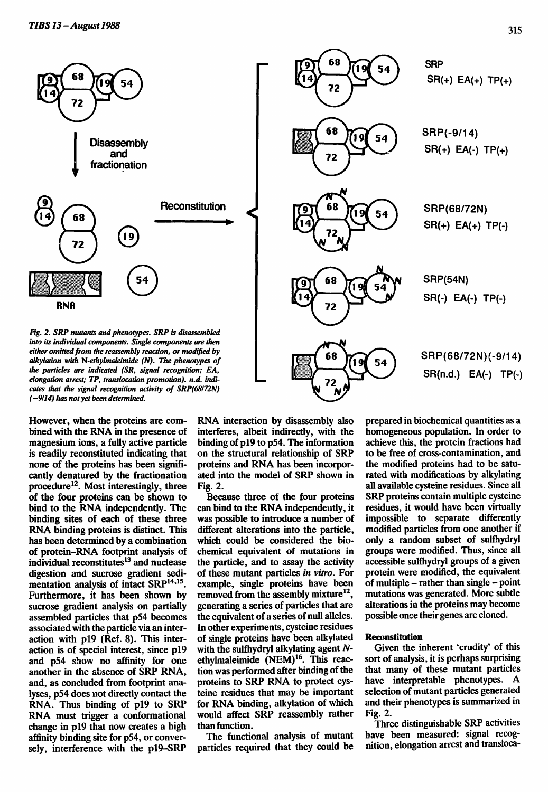

However, when the proteins are combined with the RNA in the presence of magnesium ions, a fully active particle is readily reconstituted indicating that none of the proteins has been significantly denatured by the fractionation procedure<sup>12</sup>. Most interestingly, three of the four proteins can be shown to bind to the RNA independently. The binding sites of each of these three RNA binding proteins is distinct. This has been determined by a combination of protein-RNA footprint analysis of individual reconstitutes $<sup>13</sup>$  and nuclease</sup> digestion and sucrose gradient sedimentation analysis of intact  $SRP<sup>14,15</sup>$ . Furthermore, it has been shown by sucrose gradient analysis on partially assembled particles that p54 becomes associated with the particle via an interaction with p19 (Ref. 8). This interaction is of special interest, since p19 and p54 show no affinity for one another in the absence of SRP RNA, and, as concluded from footprint analyses, p54 does not directly contact the RNA. Thus binding of p19 to SRP RNA must trigger a conformational change in p19 that now creates a high affinity binding site for p54, or conversely, interference with the pl9-SRP

RNA interaction by disassembly also interferes, albeit indirectly, with the binding of p19 to p54. The information on the structural relationship of SRP proteins and RNA has been incorporated into the model of SRP shown in Fig. 2.

Because three of the four proteins can bind to the RHA independently, it was possible to introduce a number of different alterations into the particle, which could be considered the biochemical equivalent of mutations in the particle, and to assay the activity of these mutant particles *in vitro.* For example, single proteins have been removed from the assembly mixture $^{12}$ , generating a series of particles that are the equivalent of a series of null alleles. In other experiments, cysteine residues of single proteins have been alkylated with the sulfhydryl alkylating agent Nethylmaleimide (NEM) 16. This reaction was performed after binding of the proteins to SRP RNA to protect cysteine residues that may be important for RNA binding, alkylation of which would affect SRP reassembly rather than function.

The functional analysis of mutant particles required that they could be prepared in biochemical quantities as a homogeneous population. In order to achieve this, the protein fractions had to be free of cross-contamination, and the modified proteins had to be saturated with modifications by alkylating all available cysteine residues. Since all SRP proteins contain multiple cysteine residues, it would have been virtually impossible to separate differently modified particles from one another if only a random subset of sulfhydryl groups were modified. Thus, since all accessible sulfhydryl groups of a given protein were modified, the equivalent of multiple  $-$  rather than single  $-$  point mutations was generated. More subtle alterations in the proteins may become possible once their genes are cloned.

#### **Reconstitution**

Given the inherent 'crudity' of this sort of analysis, it is perhaps surprising that many of these mutant particles have interpretable phenotypes. A selection of mutant particles generated and their phenotypes is summarized in Fig. 2.

Three distinguishable SRP activities have been measured: signal recognition, elongation arrest and transloca-